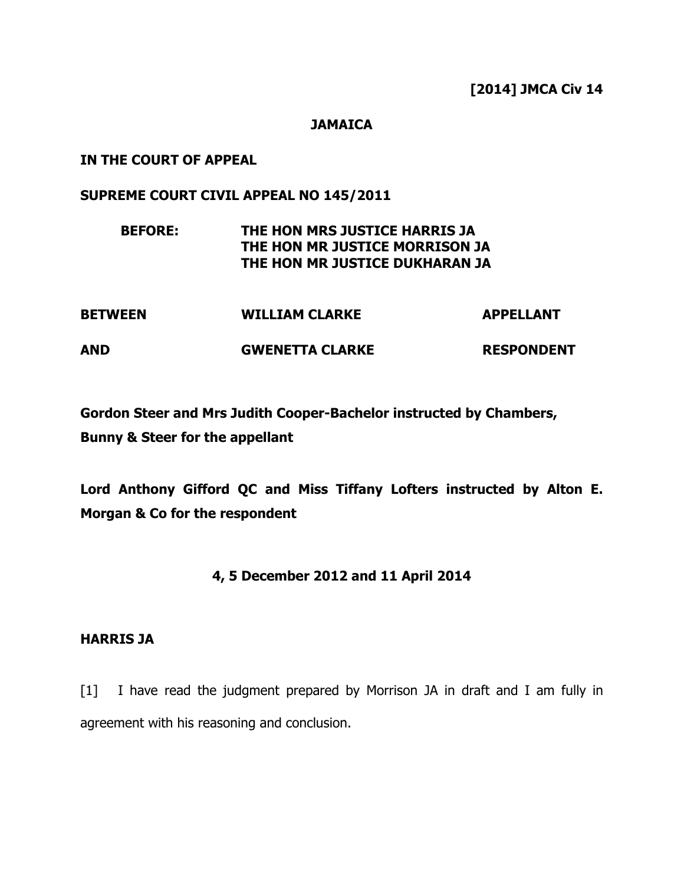[2014] JMCA Civ 14

## **JAMAICA**

### IN THE COURT OF APPEAL

### SUPREME COURT CIVIL APPEAL NO 145/2011

## BEFORE: THE HON MRS JUSTICE HARRIS JA THE HON MR JUSTICE MORRISON JA THE HON MR JUSTICE DUKHARAN JA

| <b>BETWEEN</b> | <b>WILLIAM CLARKE</b>  | <b>APPELLANT</b>  |
|----------------|------------------------|-------------------|
| AND            | <b>GWENETTA CLARKE</b> | <b>RESPONDENT</b> |

Gordon Steer and Mrs Judith Cooper-Bachelor instructed by Chambers, Bunny & Steer for the appellant

Lord Anthony Gifford QC and Miss Tiffany Lofters instructed by Alton E. Morgan & Co for the respondent

## 4, 5 December 2012 and 11 April 2014

#### HARRIS JA

[1] I have read the judgment prepared by Morrison JA in draft and I am fully in agreement with his reasoning and conclusion.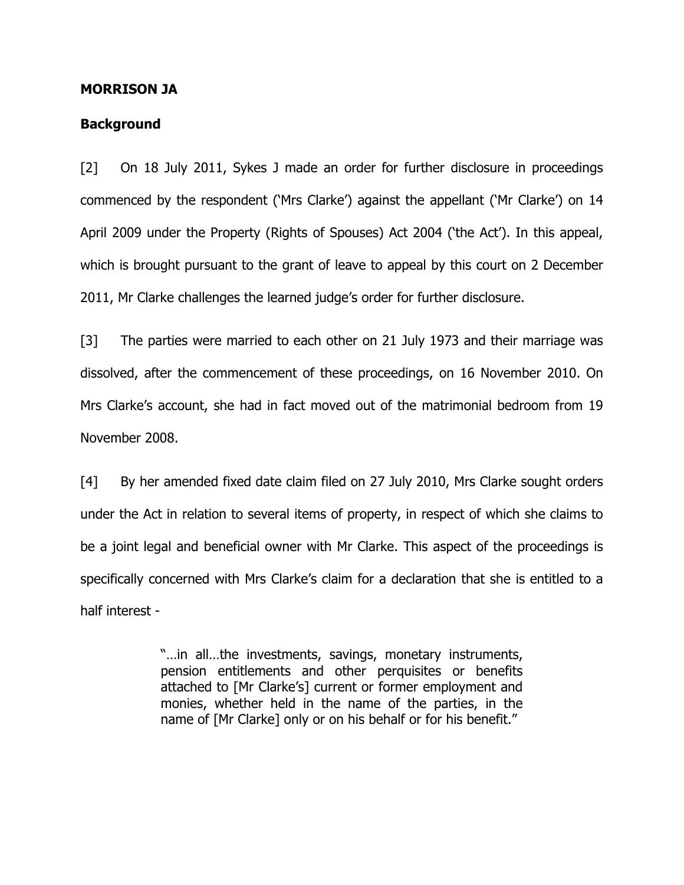#### MORRISON JA

#### **Background**

[2] On 18 July 2011, Sykes J made an order for further disclosure in proceedings commenced by the respondent ('Mrs Clarke') against the appellant ('Mr Clarke') on 14 April 2009 under the Property (Rights of Spouses) Act 2004 ('the Act'). In this appeal, which is brought pursuant to the grant of leave to appeal by this court on 2 December 2011, Mr Clarke challenges the learned judge's order for further disclosure.

[3] The parties were married to each other on 21 July 1973 and their marriage was dissolved, after the commencement of these proceedings, on 16 November 2010. On Mrs Clarke's account, she had in fact moved out of the matrimonial bedroom from 19 November 2008.

[4] By her amended fixed date claim filed on 27 July 2010, Mrs Clarke sought orders under the Act in relation to several items of property, in respect of which she claims to be a joint legal and beneficial owner with Mr Clarke. This aspect of the proceedings is specifically concerned with Mrs Clarke's claim for a declaration that she is entitled to a half interest -

> "…in all…the investments, savings, monetary instruments, pension entitlements and other perquisites or benefits attached to [Mr Clarke's] current or former employment and monies, whether held in the name of the parties, in the name of [Mr Clarke] only or on his behalf or for his benefit."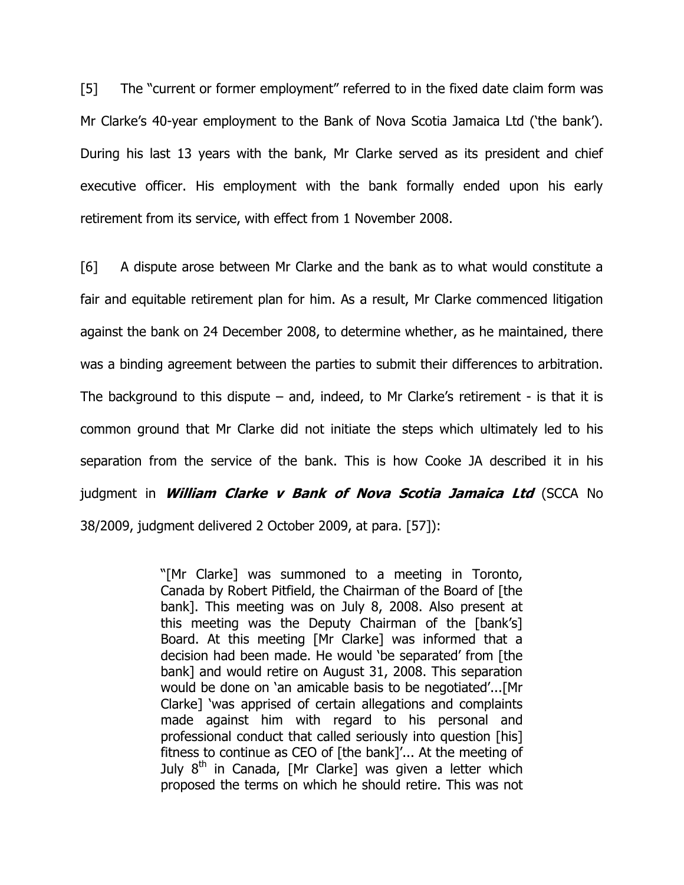[5] The "current or former employment" referred to in the fixed date claim form was Mr Clarke's 40-year employment to the Bank of Nova Scotia Jamaica Ltd ('the bank'). During his last 13 years with the bank, Mr Clarke served as its president and chief executive officer. His employment with the bank formally ended upon his early retirement from its service, with effect from 1 November 2008.

[6] A dispute arose between Mr Clarke and the bank as to what would constitute a fair and equitable retirement plan for him. As a result, Mr Clarke commenced litigation against the bank on 24 December 2008, to determine whether, as he maintained, there was a binding agreement between the parties to submit their differences to arbitration. The background to this dispute – and, indeed, to Mr Clarke's retirement - is that it is common ground that Mr Clarke did not initiate the steps which ultimately led to his separation from the service of the bank. This is how Cooke JA described it in his judgment in *William Clarke v Bank of Nova Scotia Jamaica Ltd* (SCCA No 38/2009, judgment delivered 2 October 2009, at para. [57]):

> "[Mr Clarke] was summoned to a meeting in Toronto, Canada by Robert Pitfield, the Chairman of the Board of [the bank]. This meeting was on July 8, 2008. Also present at this meeting was the Deputy Chairman of the [bank's] Board. At this meeting [Mr Clarke] was informed that a decision had been made. He would 'be separated' from [the bank] and would retire on August 31, 2008. This separation would be done on 'an amicable basis to be negotiated'...[Mr Clarke] 'was apprised of certain allegations and complaints made against him with regard to his personal and professional conduct that called seriously into question [his] fitness to continue as CEO of [the bank]'... At the meeting of July  $8<sup>th</sup>$  in Canada, [Mr Clarke] was given a letter which proposed the terms on which he should retire. This was not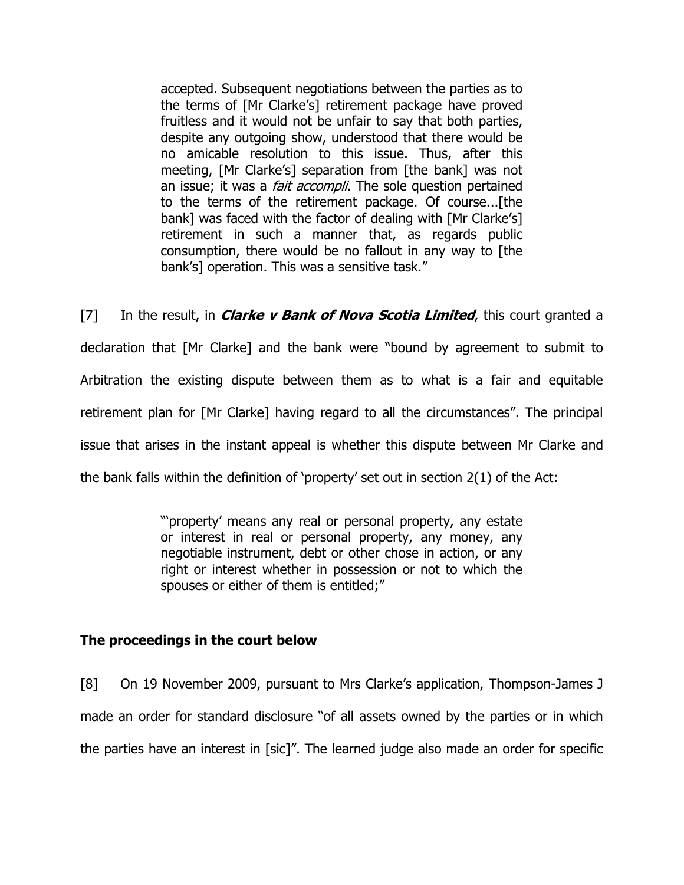accepted. Subsequent negotiations between the parties as to the terms of [Mr Clarke's] retirement package have proved fruitless and it would not be unfair to say that both parties, despite any outgoing show, understood that there would be no amicable resolution to this issue. Thus, after this meeting, [Mr Clarke's] separation from [the bank] was not an issue; it was a *fait accompli*. The sole question pertained to the terms of the retirement package. Of course...[the bank] was faced with the factor of dealing with [Mr Clarke's] retirement in such a manner that, as regards public consumption, there would be no fallout in any way to [the bank's] operation. This was a sensitive task."

[7] In the result, in *Clarke v Bank of Nova Scotia Limited*, this court granted a declaration that [Mr Clarke] and the bank were "bound by agreement to submit to Arbitration the existing dispute between them as to what is a fair and equitable retirement plan for [Mr Clarke] having regard to all the circumstances". The principal issue that arises in the instant appeal is whether this dispute between Mr Clarke and the bank falls within the definition of 'property' set out in section 2(1) of the Act:

> "'property' means any real or personal property, any estate or interest in real or personal property, any money, any negotiable instrument, debt or other chose in action, or any right or interest whether in possession or not to which the spouses or either of them is entitled;"

## The proceedings in the court below

[8] On 19 November 2009, pursuant to Mrs Clarke's application, Thompson-James J made an order for standard disclosure "of all assets owned by the parties or in which the parties have an interest in [sic]". The learned judge also made an order for specific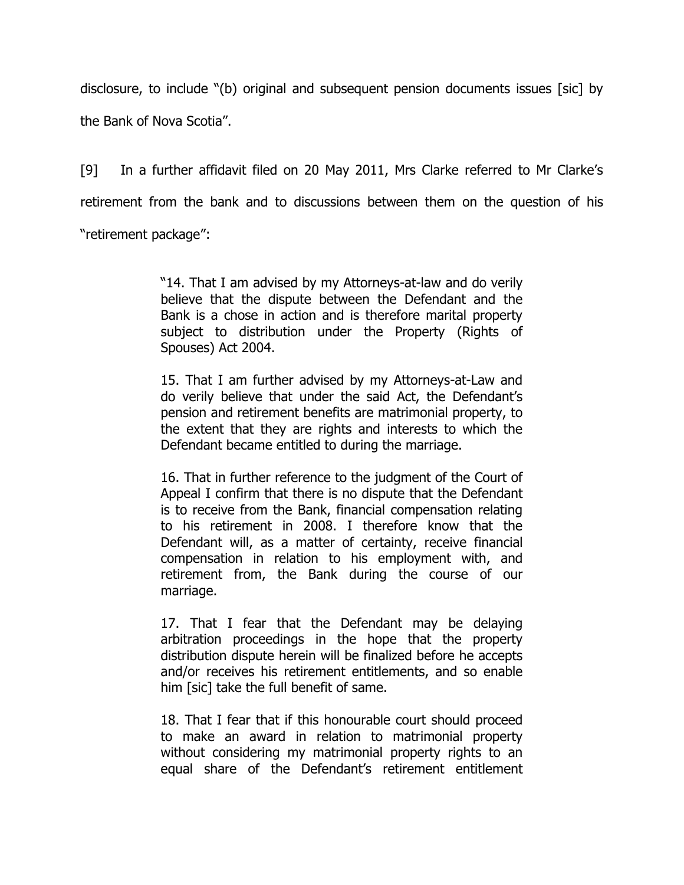disclosure, to include "(b) original and subsequent pension documents issues [sic] by the Bank of Nova Scotia".

[9] In a further affidavit filed on 20 May 2011, Mrs Clarke referred to Mr Clarke's retirement from the bank and to discussions between them on the question of his "retirement package":

> "14. That I am advised by my Attorneys-at-law and do verily believe that the dispute between the Defendant and the Bank is a chose in action and is therefore marital property subject to distribution under the Property (Rights of Spouses) Act 2004.

> 15. That I am further advised by my Attorneys-at-Law and do verily believe that under the said Act, the Defendant's pension and retirement benefits are matrimonial property, to the extent that they are rights and interests to which the Defendant became entitled to during the marriage.

> 16. That in further reference to the judgment of the Court of Appeal I confirm that there is no dispute that the Defendant is to receive from the Bank, financial compensation relating to his retirement in 2008. I therefore know that the Defendant will, as a matter of certainty, receive financial compensation in relation to his employment with, and retirement from, the Bank during the course of our marriage.

> 17. That I fear that the Defendant may be delaying arbitration proceedings in the hope that the property distribution dispute herein will be finalized before he accepts and/or receives his retirement entitlements, and so enable him [sic] take the full benefit of same.

> 18. That I fear that if this honourable court should proceed to make an award in relation to matrimonial property without considering my matrimonial property rights to an equal share of the Defendant's retirement entitlement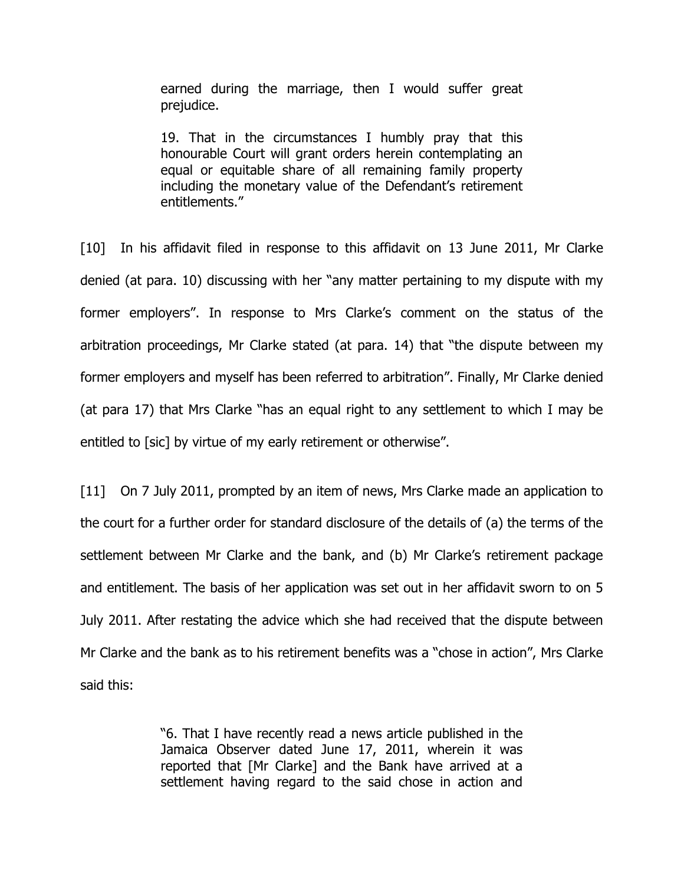earned during the marriage, then I would suffer great prejudice.

19. That in the circumstances I humbly pray that this honourable Court will grant orders herein contemplating an equal or equitable share of all remaining family property including the monetary value of the Defendant's retirement entitlements."

[10] In his affidavit filed in response to this affidavit on 13 June 2011, Mr Clarke denied (at para. 10) discussing with her "any matter pertaining to my dispute with my former employers". In response to Mrs Clarke's comment on the status of the arbitration proceedings, Mr Clarke stated (at para. 14) that "the dispute between my former employers and myself has been referred to arbitration". Finally, Mr Clarke denied (at para 17) that Mrs Clarke "has an equal right to any settlement to which I may be entitled to [sic] by virtue of my early retirement or otherwise".

[11] On 7 July 2011, prompted by an item of news, Mrs Clarke made an application to the court for a further order for standard disclosure of the details of (a) the terms of the settlement between Mr Clarke and the bank, and (b) Mr Clarke's retirement package and entitlement. The basis of her application was set out in her affidavit sworn to on 5 July 2011. After restating the advice which she had received that the dispute between Mr Clarke and the bank as to his retirement benefits was a "chose in action", Mrs Clarke said this:

> "6. That I have recently read a news article published in the Jamaica Observer dated June 17, 2011, wherein it was reported that [Mr Clarke] and the Bank have arrived at a settlement having regard to the said chose in action and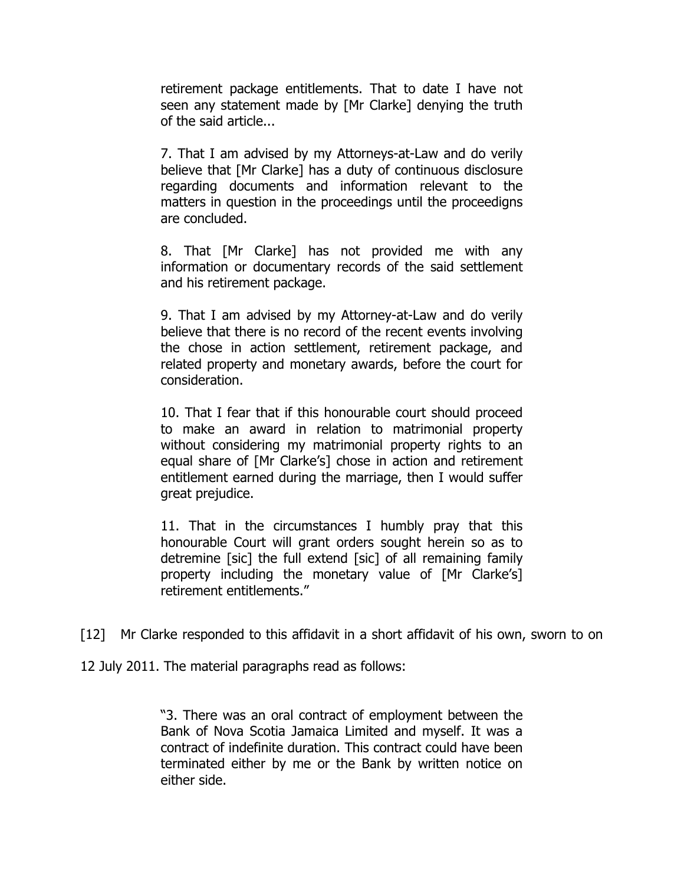retirement package entitlements. That to date I have not seen any statement made by [Mr Clarke] denying the truth of the said article...

7. That I am advised by my Attorneys-at-Law and do verily believe that [Mr Clarke] has a duty of continuous disclosure regarding documents and information relevant to the matters in question in the proceedings until the proceedigns are concluded.

8. That [Mr Clarke] has not provided me with any information or documentary records of the said settlement and his retirement package.

9. That I am advised by my Attorney-at-Law and do verily believe that there is no record of the recent events involving the chose in action settlement, retirement package, and related property and monetary awards, before the court for consideration.

10. That I fear that if this honourable court should proceed to make an award in relation to matrimonial property without considering my matrimonial property rights to an equal share of [Mr Clarke's] chose in action and retirement entitlement earned during the marriage, then I would suffer great prejudice.

11. That in the circumstances I humbly pray that this honourable Court will grant orders sought herein so as to detremine [sic] the full extend [sic] of all remaining family property including the monetary value of [Mr Clarke's] retirement entitlements."

[12] Mr Clarke responded to this affidavit in a short affidavit of his own, sworn to on

12 July 2011. The material paragraphs read as follows:

"3. There was an oral contract of employment between the Bank of Nova Scotia Jamaica Limited and myself. It was a contract of indefinite duration. This contract could have been terminated either by me or the Bank by written notice on either side.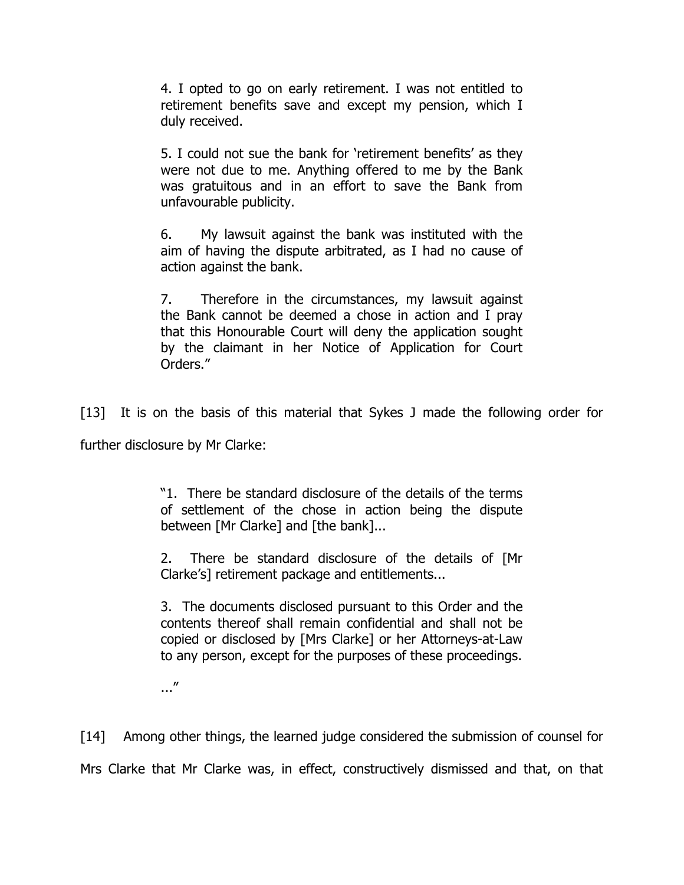4. I opted to go on early retirement. I was not entitled to retirement benefits save and except my pension, which I duly received.

5. I could not sue the bank for 'retirement benefits' as they were not due to me. Anything offered to me by the Bank was gratuitous and in an effort to save the Bank from unfavourable publicity.

6. My lawsuit against the bank was instituted with the aim of having the dispute arbitrated, as I had no cause of action against the bank.

7. Therefore in the circumstances, my lawsuit against the Bank cannot be deemed a chose in action and I pray that this Honourable Court will deny the application sought by the claimant in her Notice of Application for Court Orders."

[13] It is on the basis of this material that Sykes J made the following order for

further disclosure by Mr Clarke:

"1. There be standard disclosure of the details of the terms of settlement of the chose in action being the dispute between [Mr Clarke] and [the bank]...

2. There be standard disclosure of the details of [Mr Clarke's] retirement package and entitlements...

3. The documents disclosed pursuant to this Order and the contents thereof shall remain confidential and shall not be copied or disclosed by [Mrs Clarke] or her Attorneys-at-Law to any person, except for the purposes of these proceedings.

..."

[14] Among other things, the learned judge considered the submission of counsel for Mrs Clarke that Mr Clarke was, in effect, constructively dismissed and that, on that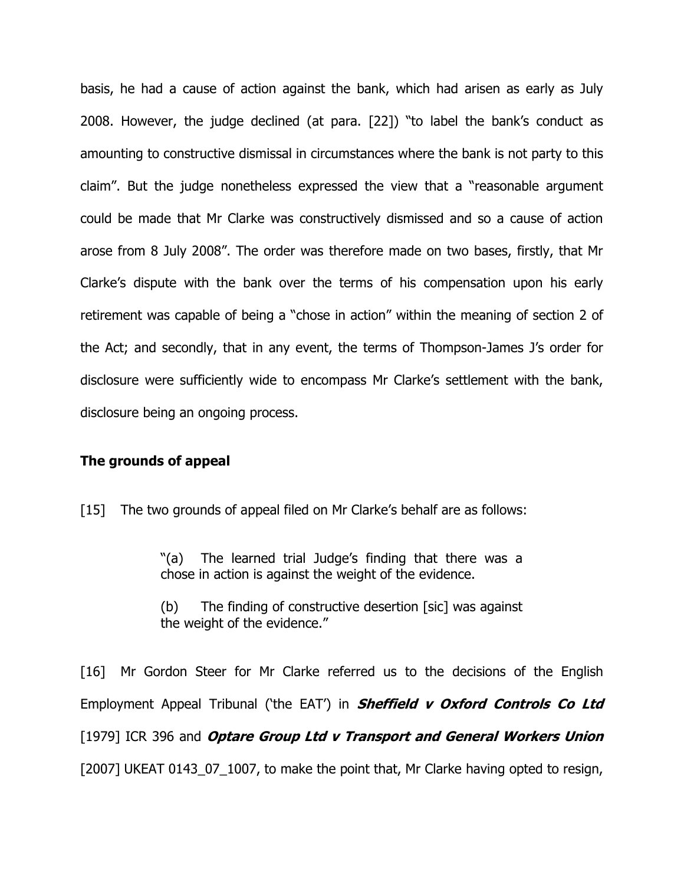basis, he had a cause of action against the bank, which had arisen as early as July 2008. However, the judge declined (at para. [22]) "to label the bank's conduct as amounting to constructive dismissal in circumstances where the bank is not party to this claim". But the judge nonetheless expressed the view that a "reasonable argument could be made that Mr Clarke was constructively dismissed and so a cause of action arose from 8 July 2008". The order was therefore made on two bases, firstly, that Mr Clarke's dispute with the bank over the terms of his compensation upon his early retirement was capable of being a "chose in action" within the meaning of section 2 of the Act; and secondly, that in any event, the terms of Thompson-James J's order for disclosure were sufficiently wide to encompass Mr Clarke's settlement with the bank, disclosure being an ongoing process.

#### The grounds of appeal

[15] The two grounds of appeal filed on Mr Clarke's behalf are as follows:

"(a) The learned trial Judge's finding that there was a chose in action is against the weight of the evidence.

(b) The finding of constructive desertion [sic] was against the weight of the evidence."

[16] Mr Gordon Steer for Mr Clarke referred us to the decisions of the English Employment Appeal Tribunal ('the EAT') in **Sheffield v Oxford Controls Co Ltd** [1979] ICR 396 and Optare Group Ltd v Transport and General Workers Union [2007] UKEAT 0143 07 1007, to make the point that, Mr Clarke having opted to resign,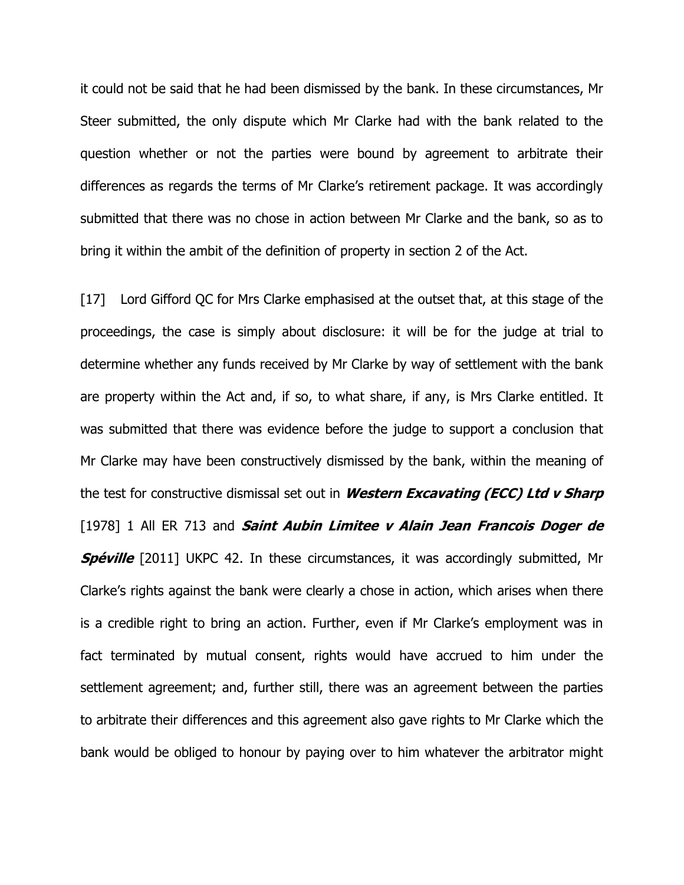it could not be said that he had been dismissed by the bank. In these circumstances, Mr Steer submitted, the only dispute which Mr Clarke had with the bank related to the question whether or not the parties were bound by agreement to arbitrate their differences as regards the terms of Mr Clarke's retirement package. It was accordingly submitted that there was no chose in action between Mr Clarke and the bank, so as to bring it within the ambit of the definition of property in section 2 of the Act.

[17] Lord Gifford QC for Mrs Clarke emphasised at the outset that, at this stage of the proceedings, the case is simply about disclosure: it will be for the judge at trial to determine whether any funds received by Mr Clarke by way of settlement with the bank are property within the Act and, if so, to what share, if any, is Mrs Clarke entitled. It was submitted that there was evidence before the judge to support a conclusion that Mr Clarke may have been constructively dismissed by the bank, within the meaning of the test for constructive dismissal set out in *Western Excavating (ECC) Ltd v Sharp* [1978] 1 All ER 713 and Saint Aubin Limitee v Alain Jean Francois Doger de **Spéville** [2011] UKPC 42. In these circumstances, it was accordingly submitted, Mr Clarke's rights against the bank were clearly a chose in action, which arises when there is a credible right to bring an action. Further, even if Mr Clarke's employment was in fact terminated by mutual consent, rights would have accrued to him under the settlement agreement; and, further still, there was an agreement between the parties to arbitrate their differences and this agreement also gave rights to Mr Clarke which the bank would be obliged to honour by paying over to him whatever the arbitrator might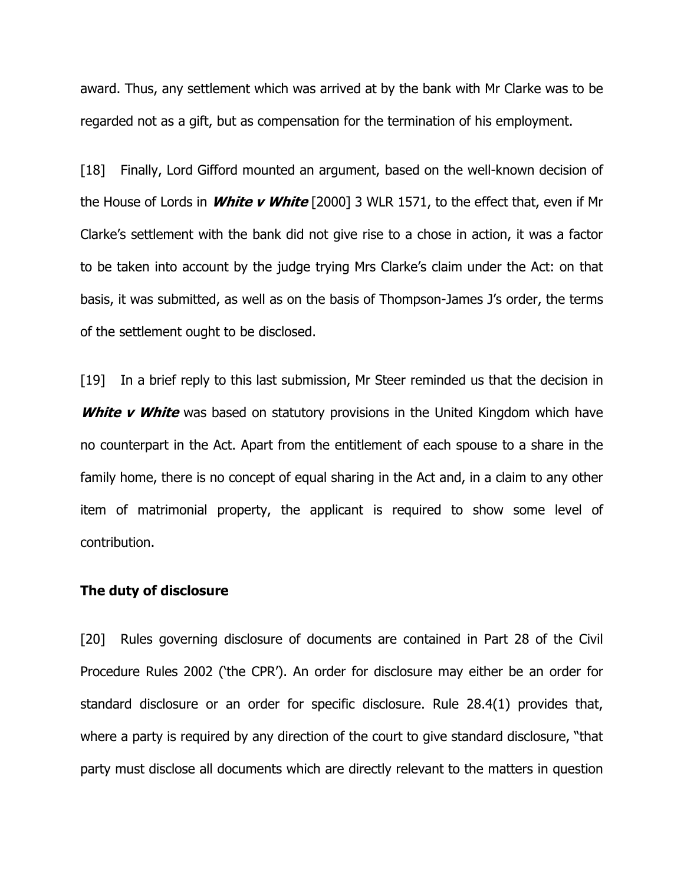award. Thus, any settlement which was arrived at by the bank with Mr Clarke was to be regarded not as a gift, but as compensation for the termination of his employment.

[18] Finally, Lord Gifford mounted an argument, based on the well-known decision of the House of Lords in **White v White** [2000] 3 WLR 1571, to the effect that, even if Mr Clarke's settlement with the bank did not give rise to a chose in action, it was a factor to be taken into account by the judge trying Mrs Clarke's claim under the Act: on that basis, it was submitted, as well as on the basis of Thompson-James J's order, the terms of the settlement ought to be disclosed.

[19] In a brief reply to this last submission, Mr Steer reminded us that the decision in White v White was based on statutory provisions in the United Kingdom which have no counterpart in the Act. Apart from the entitlement of each spouse to a share in the family home, there is no concept of equal sharing in the Act and, in a claim to any other item of matrimonial property, the applicant is required to show some level of contribution.

#### The duty of disclosure

[20] Rules governing disclosure of documents are contained in Part 28 of the Civil Procedure Rules 2002 ('the CPR'). An order for disclosure may either be an order for standard disclosure or an order for specific disclosure. Rule 28.4(1) provides that, where a party is required by any direction of the court to give standard disclosure, "that party must disclose all documents which are directly relevant to the matters in question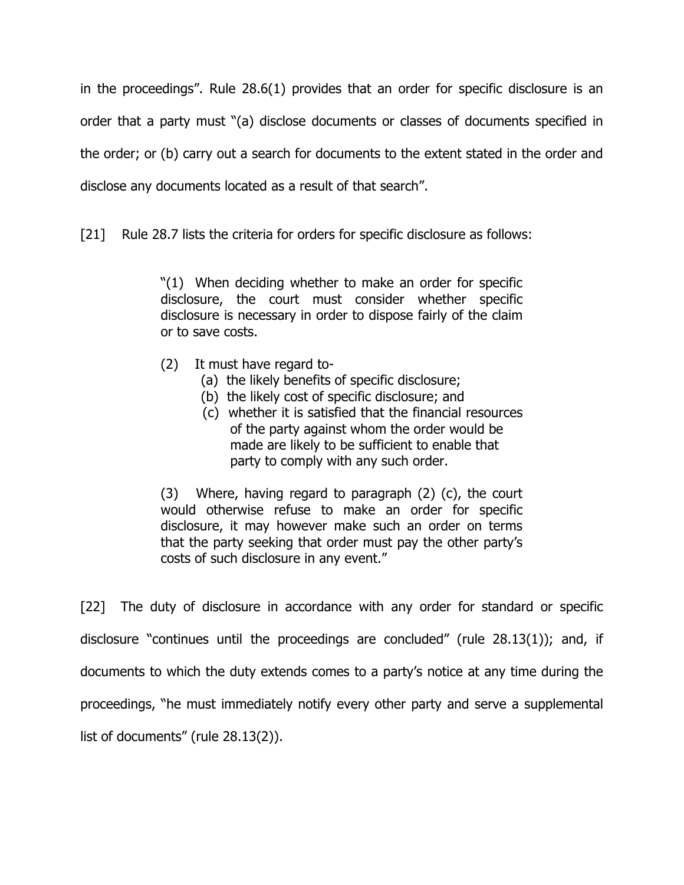in the proceedings". Rule 28.6(1) provides that an order for specific disclosure is an order that a party must "(a) disclose documents or classes of documents specified in the order; or (b) carry out a search for documents to the extent stated in the order and disclose any documents located as a result of that search".

[21] Rule 28.7 lists the criteria for orders for specific disclosure as follows:

"(1) When deciding whether to make an order for specific disclosure, the court must consider whether specific disclosure is necessary in order to dispose fairly of the claim or to save costs.

- (2) It must have regard to-
	- (a) the likely benefits of specific disclosure;
	- (b) the likely cost of specific disclosure; and
	- (c) whether it is satisfied that the financial resources of the party against whom the order would be made are likely to be sufficient to enable that party to comply with any such order.

(3) Where, having regard to paragraph (2) (c), the court would otherwise refuse to make an order for specific disclosure, it may however make such an order on terms that the party seeking that order must pay the other party's costs of such disclosure in any event."

[22] The duty of disclosure in accordance with any order for standard or specific disclosure "continues until the proceedings are concluded" (rule 28.13(1)); and, if documents to which the duty extends comes to a party's notice at any time during the proceedings, "he must immediately notify every other party and serve a supplemental list of documents" (rule 28.13(2)).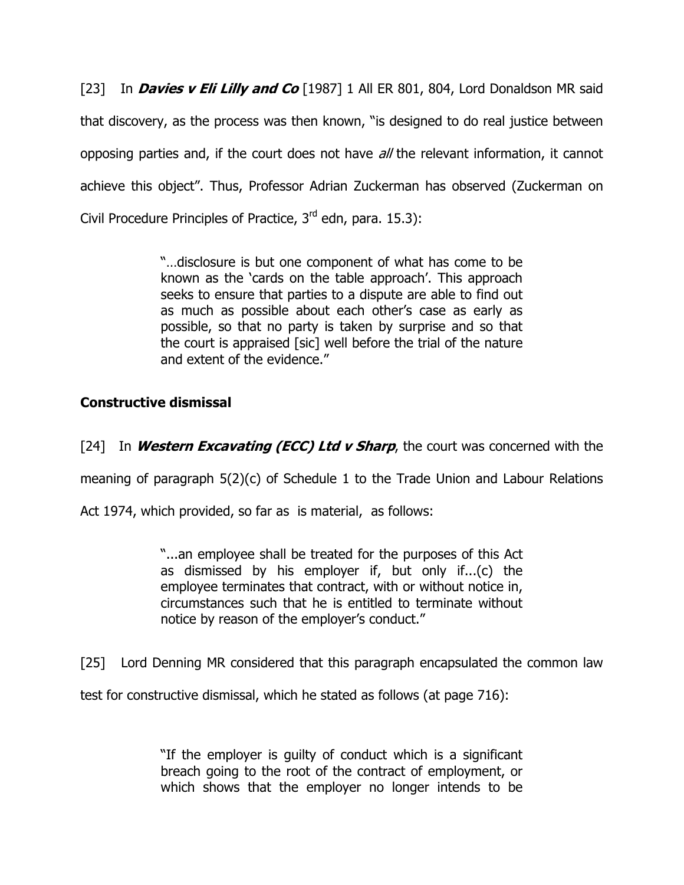[23] In **Davies v Eli Lilly and Co** [1987] 1 All ER 801, 804, Lord Donaldson MR said that discovery, as the process was then known, "is designed to do real justice between opposing parties and, if the court does not have all the relevant information, it cannot achieve this object". Thus, Professor Adrian Zuckerman has observed (Zuckerman on Civil Procedure Principles of Practice, 3<sup>rd</sup> edn, para. 15.3):

> "…disclosure is but one component of what has come to be known as the 'cards on the table approach'. This approach seeks to ensure that parties to a dispute are able to find out as much as possible about each other's case as early as possible, so that no party is taken by surprise and so that the court is appraised [sic] well before the trial of the nature and extent of the evidence."

# Constructive dismissal

[24] In **Western Excavating (ECC) Ltd v Sharp**, the court was concerned with the

meaning of paragraph 5(2)(c) of Schedule 1 to the Trade Union and Labour Relations

Act 1974, which provided, so far as is material, as follows:

"...an employee shall be treated for the purposes of this Act as dismissed by his employer if, but only if...(c) the employee terminates that contract, with or without notice in, circumstances such that he is entitled to terminate without notice by reason of the employer's conduct."

[25] Lord Denning MR considered that this paragraph encapsulated the common law

test for constructive dismissal, which he stated as follows (at page 716):

"If the employer is guilty of conduct which is a significant breach going to the root of the contract of employment, or which shows that the employer no longer intends to be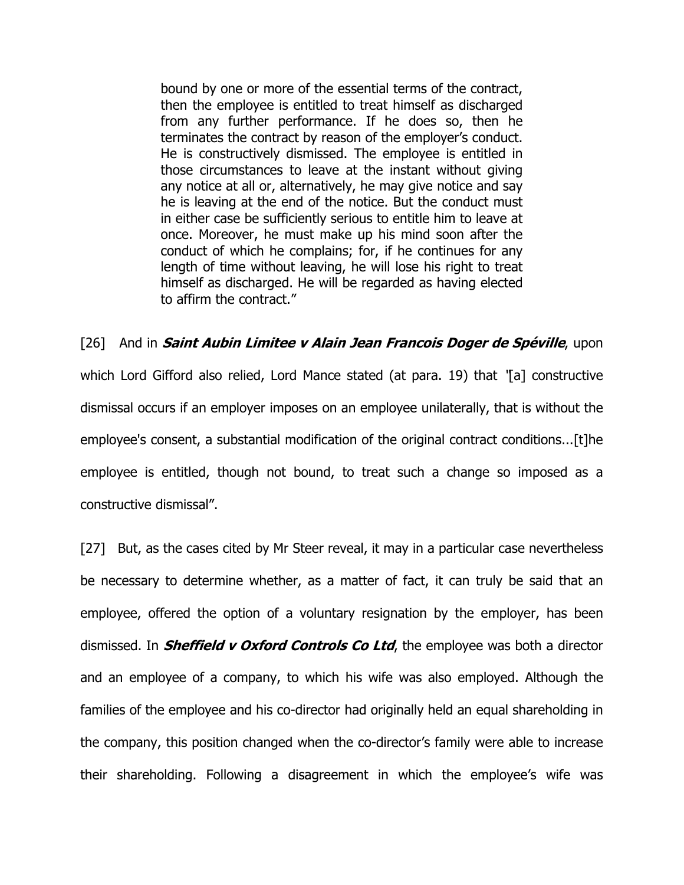bound by one or more of the essential terms of the contract, then the employee is entitled to treat himself as discharged from any further performance. If he does so, then he terminates the contract by reason of the employer's conduct. He is constructively dismissed. The employee is entitled in those circumstances to leave at the instant without giving any notice at all or, alternatively, he may give notice and say he is leaving at the end of the notice. But the conduct must in either case be sufficiently serious to entitle him to leave at once. Moreover, he must make up his mind soon after the conduct of which he complains; for, if he continues for any length of time without leaving, he will lose his right to treat himself as discharged. He will be regarded as having elected to affirm the contract."

[26] And in **Saint Aubin Limitee v Alain Jean Francois Doger de Spéville**, upon which Lord Gifford also relied, Lord Mance stated (at para. 19) that "[a] constructive dismissal occurs if an employer imposes on an employee unilaterally, that is without the employee's consent, a substantial modification of the original contract conditions...[t]he employee is entitled, though not bound, to treat such a change so imposed as a constructive dismissal".

[27] But, as the cases cited by Mr Steer reveal, it may in a particular case nevertheless be necessary to determine whether, as a matter of fact, it can truly be said that an employee, offered the option of a voluntary resignation by the employer, has been dismissed. In **Sheffield v Oxford Controls Co Ltd**, the employee was both a director and an employee of a company, to which his wife was also employed. Although the families of the employee and his co-director had originally held an equal shareholding in the company, this position changed when the co-director's family were able to increase their shareholding. Following a disagreement in which the employee's wife was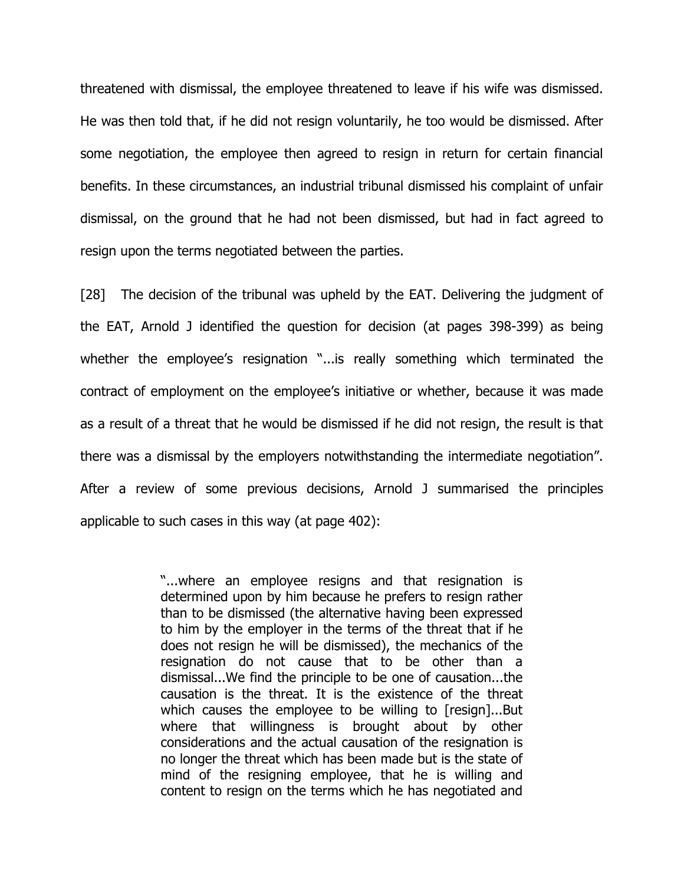threatened with dismissal, the employee threatened to leave if his wife was dismissed. He was then told that, if he did not resign voluntarily, he too would be dismissed. After some negotiation, the employee then agreed to resign in return for certain financial benefits. In these circumstances, an industrial tribunal dismissed his complaint of unfair dismissal, on the ground that he had not been dismissed, but had in fact agreed to resign upon the terms negotiated between the parties.

[28] The decision of the tribunal was upheld by the EAT. Delivering the judgment of the EAT, Arnold J identified the question for decision (at pages 398-399) as being whether the employee's resignation "...is really something which terminated the contract of employment on the employee's initiative or whether, because it was made as a result of a threat that he would be dismissed if he did not resign, the result is that there was a dismissal by the employers notwithstanding the intermediate negotiation". After a review of some previous decisions, Arnold J summarised the principles applicable to such cases in this way (at page 402):

> "...where an employee resigns and that resignation is determined upon by him because he prefers to resign rather than to be dismissed (the alternative having been expressed to him by the employer in the terms of the threat that if he does not resign he will be dismissed), the mechanics of the resignation do not cause that to be other than a dismissal...We find the principle to be one of causation...the causation is the threat. It is the existence of the threat which causes the employee to be willing to [resign]...But where that willingness is brought about by other considerations and the actual causation of the resignation is no longer the threat which has been made but is the state of mind of the resigning employee, that he is willing and content to resign on the terms which he has negotiated and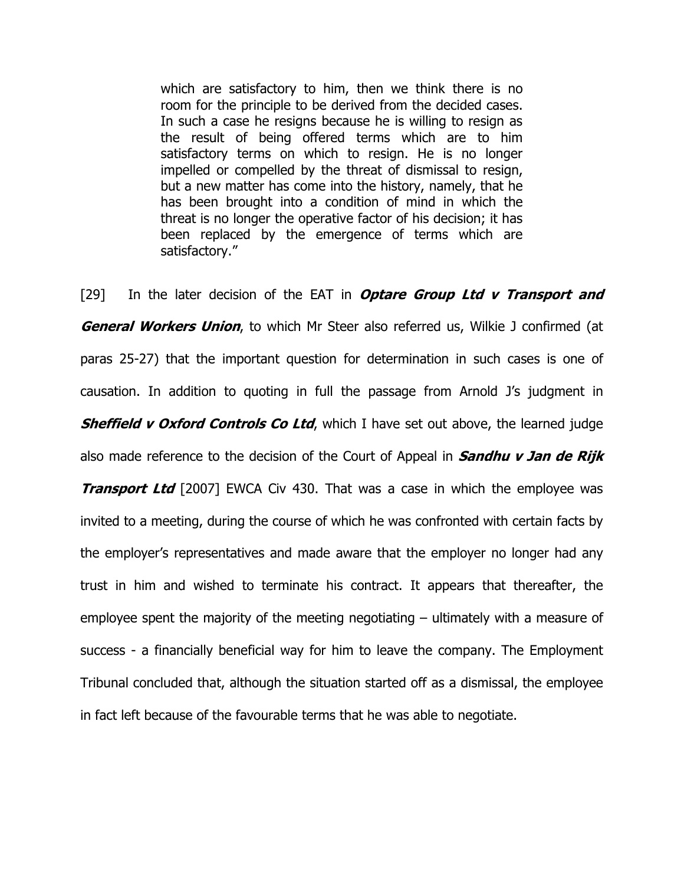which are satisfactory to him, then we think there is no room for the principle to be derived from the decided cases. In such a case he resigns because he is willing to resign as the result of being offered terms which are to him satisfactory terms on which to resign. He is no longer impelled or compelled by the threat of dismissal to resign, but a new matter has come into the history, namely, that he has been brought into a condition of mind in which the threat is no longer the operative factor of his decision; it has been replaced by the emergence of terms which are satisfactory."

[29] In the later decision of the EAT in **Optare Group Ltd v Transport and General Workers Union**, to which Mr Steer also referred us, Wilkie J confirmed (at paras 25-27) that the important question for determination in such cases is one of causation. In addition to quoting in full the passage from Arnold J's judgment in **Sheffield v Oxford Controls Co Ltd**, which I have set out above, the learned judge also made reference to the decision of the Court of Appeal in **Sandhu v Jan de Rijk Transport Ltd** [2007] EWCA Civ 430. That was a case in which the employee was invited to a meeting, during the course of which he was confronted with certain facts by the employer's representatives and made aware that the employer no longer had any trust in him and wished to terminate his contract. It appears that thereafter, the employee spent the majority of the meeting negotiating – ultimately with a measure of success - a financially beneficial way for him to leave the company. The Employment Tribunal concluded that, although the situation started off as a dismissal, the employee in fact left because of the favourable terms that he was able to negotiate.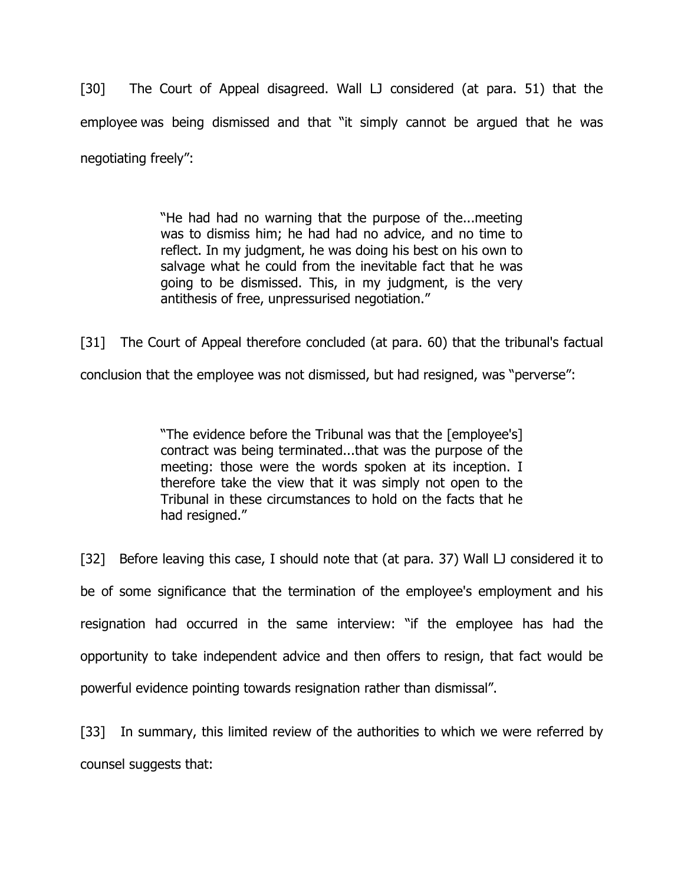[30] The Court of Appeal disagreed. Wall LJ considered (at para. 51) that the employee was being dismissed and that "it simply cannot be argued that he was negotiating freely":

> "He had had no warning that the purpose of the...meeting was to dismiss him; he had had no advice, and no time to reflect. In my judgment, he was doing his best on his own to salvage what he could from the inevitable fact that he was going to be dismissed. This, in my judgment, is the very antithesis of free, unpressurised negotiation."

[31] The Court of Appeal therefore concluded (at para. 60) that the tribunal's factual conclusion that the employee was not dismissed, but had resigned, was "perverse":

> "The evidence before the Tribunal was that the [employee's] contract was being terminated...that was the purpose of the meeting: those were the words spoken at its inception. I therefore take the view that it was simply not open to the Tribunal in these circumstances to hold on the facts that he had resigned."

[32] Before leaving this case, I should note that (at para. 37) Wall LJ considered it to be of some significance that the termination of the employee's employment and his resignation had occurred in the same interview: "if the employee has had the opportunity to take independent advice and then offers to resign, that fact would be powerful evidence pointing towards resignation rather than dismissal".

[33] In summary, this limited review of the authorities to which we were referred by counsel suggests that: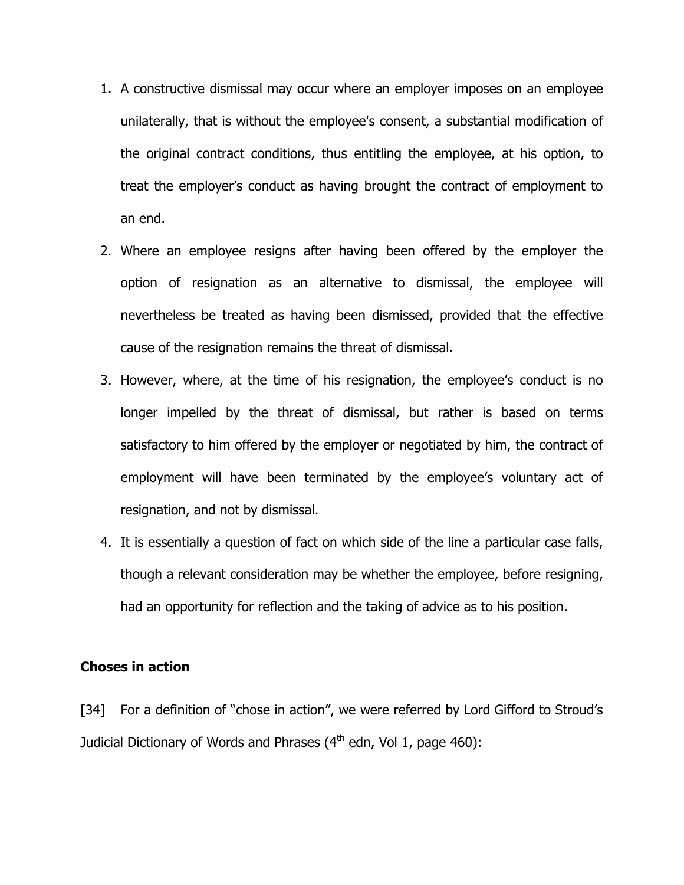- 1. A constructive dismissal may occur where an employer imposes on an employee unilaterally, that is without the employee's consent, a substantial modification of the original contract conditions, thus entitling the employee, at his option, to treat the employer's conduct as having brought the contract of employment to an end.
- 2. Where an employee resigns after having been offered by the employer the option of resignation as an alternative to dismissal, the employee will nevertheless be treated as having been dismissed, provided that the effective cause of the resignation remains the threat of dismissal.
- 3. However, where, at the time of his resignation, the employee's conduct is no longer impelled by the threat of dismissal, but rather is based on terms satisfactory to him offered by the employer or negotiated by him, the contract of employment will have been terminated by the employee's voluntary act of resignation, and not by dismissal.
- 4. It is essentially a question of fact on which side of the line a particular case falls, though a relevant consideration may be whether the employee, before resigning, had an opportunity for reflection and the taking of advice as to his position.

### Choses in action

[34] For a definition of "chose in action", we were referred by Lord Gifford to Stroud's Judicial Dictionary of Words and Phrases  $(4<sup>th</sup>$  edn, Vol 1, page 460):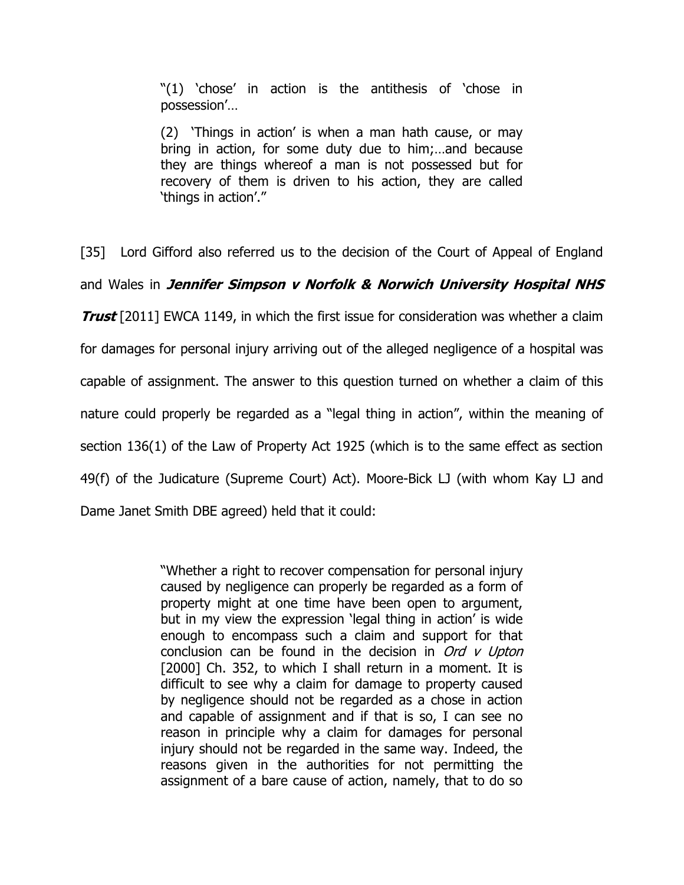"(1) 'chose' in action is the antithesis of 'chose in possession'…

(2) 'Things in action' is when a man hath cause, or may bring in action, for some duty due to him;…and because they are things whereof a man is not possessed but for recovery of them is driven to his action, they are called 'things in action'."

[35] Lord Gifford also referred us to the decision of the Court of Appeal of England

and Wales in Jennifer Simpson v Norfolk & Norwich University Hospital NHS

**Trust** [2011] EWCA 1149, in which the first issue for consideration was whether a claim for damages for personal injury arriving out of the alleged negligence of a hospital was capable of assignment. The answer to this question turned on whether a claim of this nature could properly be regarded as a "legal thing in action", within the meaning of section 136(1) of the Law of Property Act 1925 (which is to the same effect as section 49(f) of the Judicature (Supreme Court) Act). Moore-Bick LJ (with whom Kay LJ and Dame Janet Smith DBE agreed) held that it could:

> "Whether a right to recover compensation for personal injury caused by negligence can properly be regarded as a form of property might at one time have been open to argument, but in my view the expression 'legal thing in action' is wide enough to encompass such a claim and support for that conclusion can be found in the decision in  $Ord$  v Upton [2000] Ch. 352, to which I shall return in a moment. It is difficult to see why a claim for damage to property caused by negligence should not be regarded as a chose in action and capable of assignment and if that is so, I can see no reason in principle why a claim for damages for personal injury should not be regarded in the same way. Indeed, the reasons given in the authorities for not permitting the assignment of a bare cause of action, namely, that to do so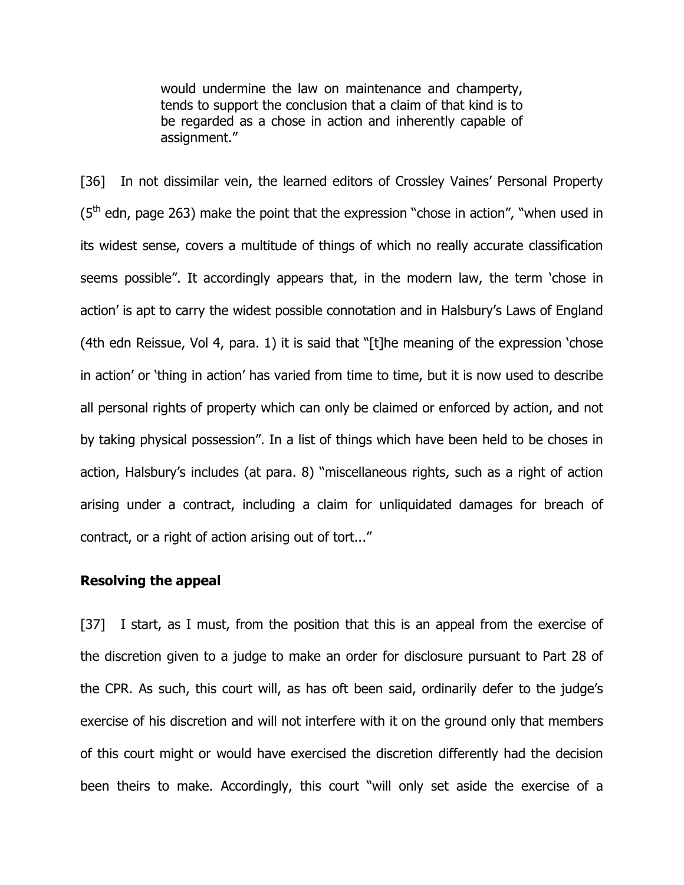would undermine the law on maintenance and champerty, tends to support the conclusion that a claim of that kind is to be regarded as a chose in action and inherently capable of assignment."

[36] In not dissimilar vein, the learned editors of Crossley Vaines' Personal Property  $(5<sup>th</sup>$  edn, page 263) make the point that the expression "chose in action", "when used in its widest sense, covers a multitude of things of which no really accurate classification seems possible". It accordingly appears that, in the modern law, the term 'chose in action' is apt to carry the widest possible connotation and in Halsbury's Laws of England (4th edn Reissue, Vol 4, para. 1) it is said that "[t]he meaning of the expression 'chose in action' or 'thing in action' has varied from time to time, but it is now used to describe all personal rights of property which can only be claimed or enforced by action, and not by taking physical possession". In a list of things which have been held to be choses in action, Halsbury's includes (at para. 8) "miscellaneous rights, such as a right of action arising under a contract, including a claim for unliquidated damages for breach of contract, or a right of action arising out of tort..."

### Resolving the appeal

[37] I start, as I must, from the position that this is an appeal from the exercise of the discretion given to a judge to make an order for disclosure pursuant to Part 28 of the CPR. As such, this court will, as has oft been said, ordinarily defer to the judge's exercise of his discretion and will not interfere with it on the ground only that members of this court might or would have exercised the discretion differently had the decision been theirs to make. Accordingly, this court "will only set aside the exercise of a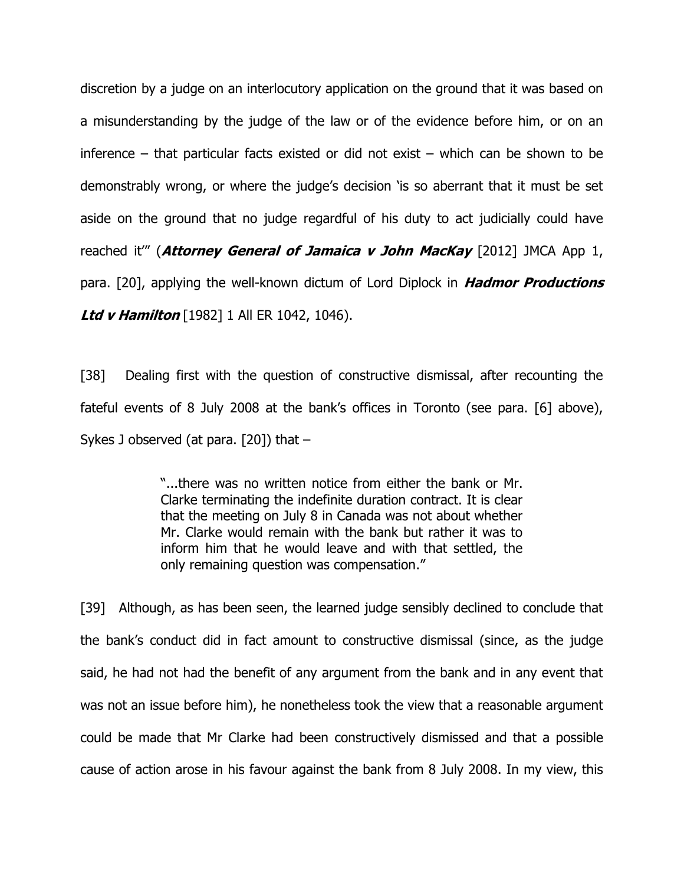discretion by a judge on an interlocutory application on the ground that it was based on a misunderstanding by the judge of the law or of the evidence before him, or on an inference – that particular facts existed or did not exist – which can be shown to be demonstrably wrong, or where the judge's decision 'is so aberrant that it must be set aside on the ground that no judge regardful of his duty to act judicially could have reached it"' (**Attorney General of Jamaica v John MacKay** [2012] JMCA App 1, para. [20], applying the well-known dictum of Lord Diplock in **Hadmor Productions Ltd v Hamilton** [1982] 1 All ER 1042, 1046).

[38] Dealing first with the question of constructive dismissal, after recounting the fateful events of 8 July 2008 at the bank's offices in Toronto (see para. [6] above), Sykes J observed (at para. [20]) that –

> "...there was no written notice from either the bank or Mr. Clarke terminating the indefinite duration contract. It is clear that the meeting on July 8 in Canada was not about whether Mr. Clarke would remain with the bank but rather it was to inform him that he would leave and with that settled, the only remaining question was compensation."

[39] Although, as has been seen, the learned judge sensibly declined to conclude that the bank's conduct did in fact amount to constructive dismissal (since, as the judge said, he had not had the benefit of any argument from the bank and in any event that was not an issue before him), he nonetheless took the view that a reasonable argument could be made that Mr Clarke had been constructively dismissed and that a possible cause of action arose in his favour against the bank from 8 July 2008. In my view, this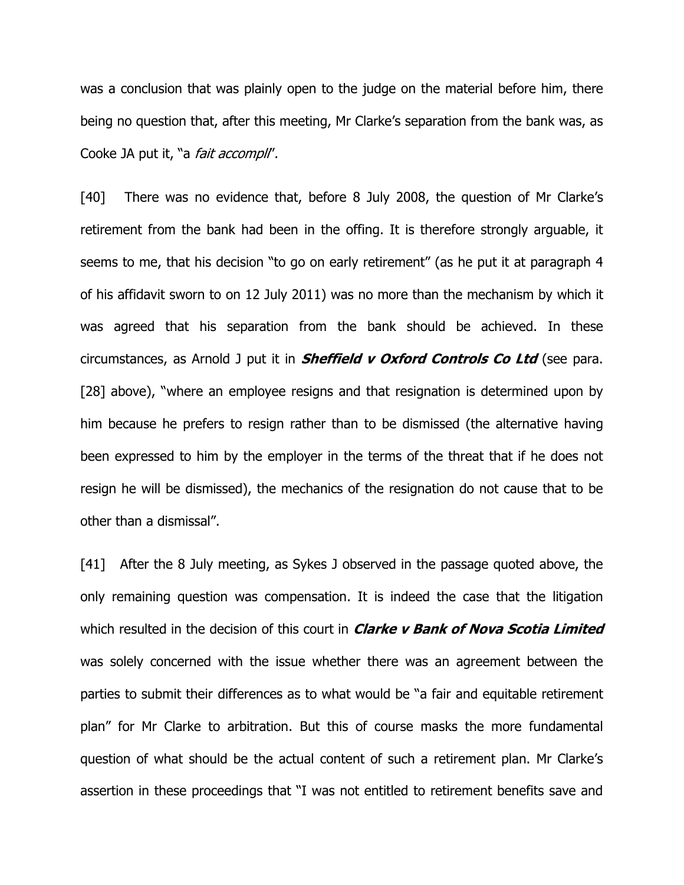was a conclusion that was plainly open to the judge on the material before him, there being no question that, after this meeting, Mr Clarke's separation from the bank was, as Cooke JA put it, "a *fait accompli"*.

[40] There was no evidence that, before 8 July 2008, the question of Mr Clarke's retirement from the bank had been in the offing. It is therefore strongly arguable, it seems to me, that his decision "to go on early retirement" (as he put it at paragraph 4 of his affidavit sworn to on 12 July 2011) was no more than the mechanism by which it was agreed that his separation from the bank should be achieved. In these circumstances, as Arnold J put it in **Sheffield v Oxford Controls Co Ltd** (see para. [28] above), "where an employee resigns and that resignation is determined upon by him because he prefers to resign rather than to be dismissed (the alternative having been expressed to him by the employer in the terms of the threat that if he does not resign he will be dismissed), the mechanics of the resignation do not cause that to be other than a dismissal".

[41] After the 8 July meeting, as Sykes J observed in the passage quoted above, the only remaining question was compensation. It is indeed the case that the litigation which resulted in the decision of this court in *Clarke v Bank of Nova Scotia Limited* was solely concerned with the issue whether there was an agreement between the parties to submit their differences as to what would be "a fair and equitable retirement plan" for Mr Clarke to arbitration. But this of course masks the more fundamental question of what should be the actual content of such a retirement plan. Mr Clarke's assertion in these proceedings that "I was not entitled to retirement benefits save and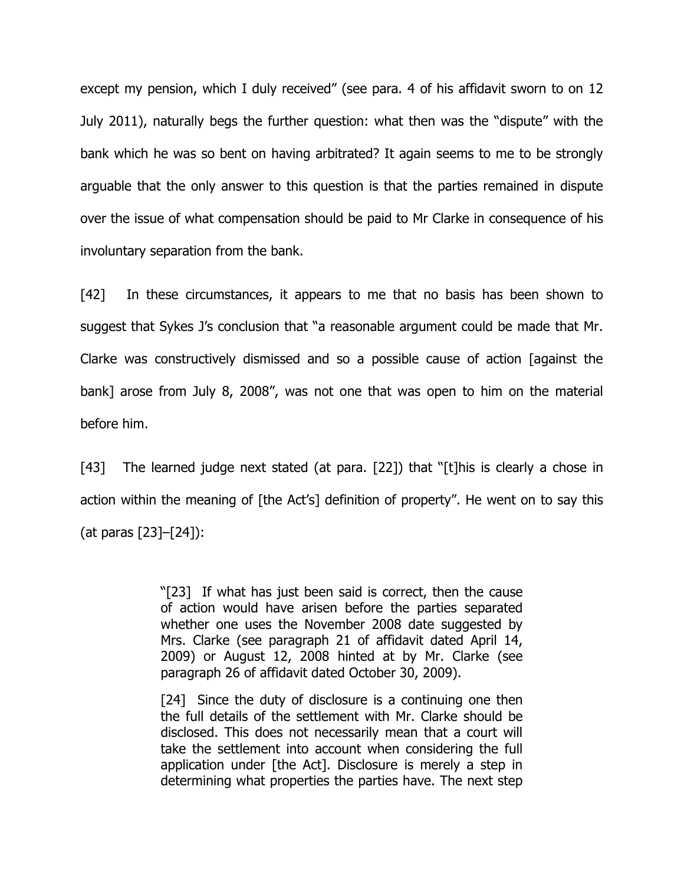except my pension, which I duly received" (see para. 4 of his affidavit sworn to on 12 July 2011), naturally begs the further question: what then was the "dispute" with the bank which he was so bent on having arbitrated? It again seems to me to be strongly arguable that the only answer to this question is that the parties remained in dispute over the issue of what compensation should be paid to Mr Clarke in consequence of his involuntary separation from the bank.

[42] In these circumstances, it appears to me that no basis has been shown to suggest that Sykes J's conclusion that "a reasonable argument could be made that Mr. Clarke was constructively dismissed and so a possible cause of action [against the bank] arose from July 8, 2008", was not one that was open to him on the material before him.

[43] The learned judge next stated (at para. [22]) that "[t]his is clearly a chose in action within the meaning of [the Act's] definition of property". He went on to say this (at paras [23]–[24]):

> "[23] If what has just been said is correct, then the cause of action would have arisen before the parties separated whether one uses the November 2008 date suggested by Mrs. Clarke (see paragraph 21 of affidavit dated April 14, 2009) or August 12, 2008 hinted at by Mr. Clarke (see paragraph 26 of affidavit dated October 30, 2009).

> [24] Since the duty of disclosure is a continuing one then the full details of the settlement with Mr. Clarke should be disclosed. This does not necessarily mean that a court will take the settlement into account when considering the full application under [the Act]. Disclosure is merely a step in determining what properties the parties have. The next step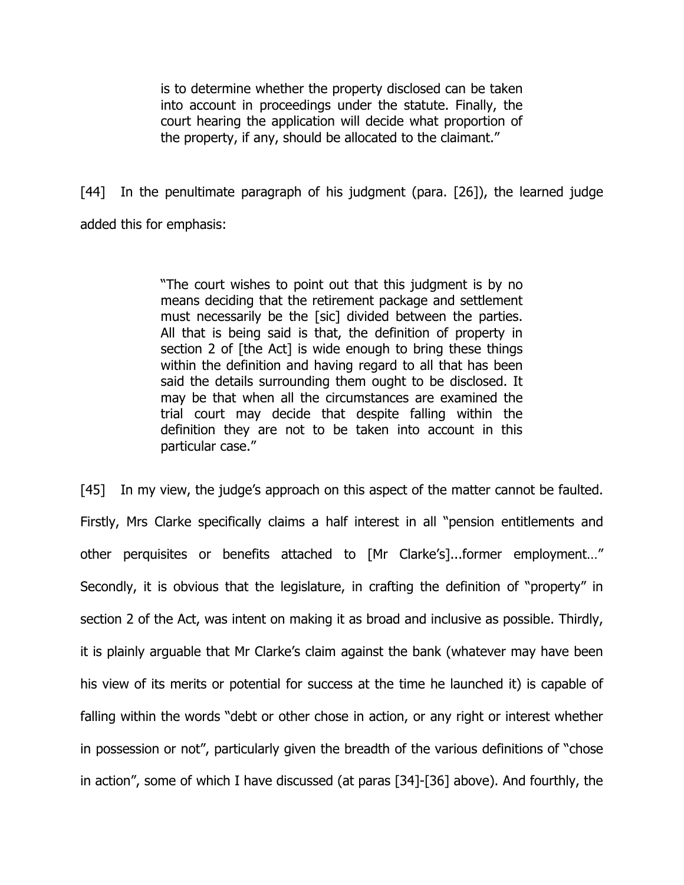is to determine whether the property disclosed can be taken into account in proceedings under the statute. Finally, the court hearing the application will decide what proportion of the property, if any, should be allocated to the claimant."

[44] In the penultimate paragraph of his judgment (para. [26]), the learned judge added this for emphasis:

> "The court wishes to point out that this judgment is by no means deciding that the retirement package and settlement must necessarily be the [sic] divided between the parties. All that is being said is that, the definition of property in section 2 of [the Act] is wide enough to bring these things within the definition and having regard to all that has been said the details surrounding them ought to be disclosed. It may be that when all the circumstances are examined the trial court may decide that despite falling within the definition they are not to be taken into account in this particular case."

[45] In my view, the judge's approach on this aspect of the matter cannot be faulted. Firstly, Mrs Clarke specifically claims a half interest in all "pension entitlements and other perquisites or benefits attached to [Mr Clarke's]...former employment…" Secondly, it is obvious that the legislature, in crafting the definition of "property" in section 2 of the Act, was intent on making it as broad and inclusive as possible. Thirdly, it is plainly arguable that Mr Clarke's claim against the bank (whatever may have been his view of its merits or potential for success at the time he launched it) is capable of falling within the words "debt or other chose in action, or any right or interest whether in possession or not", particularly given the breadth of the various definitions of "chose in action", some of which I have discussed (at paras [34]-[36] above). And fourthly, the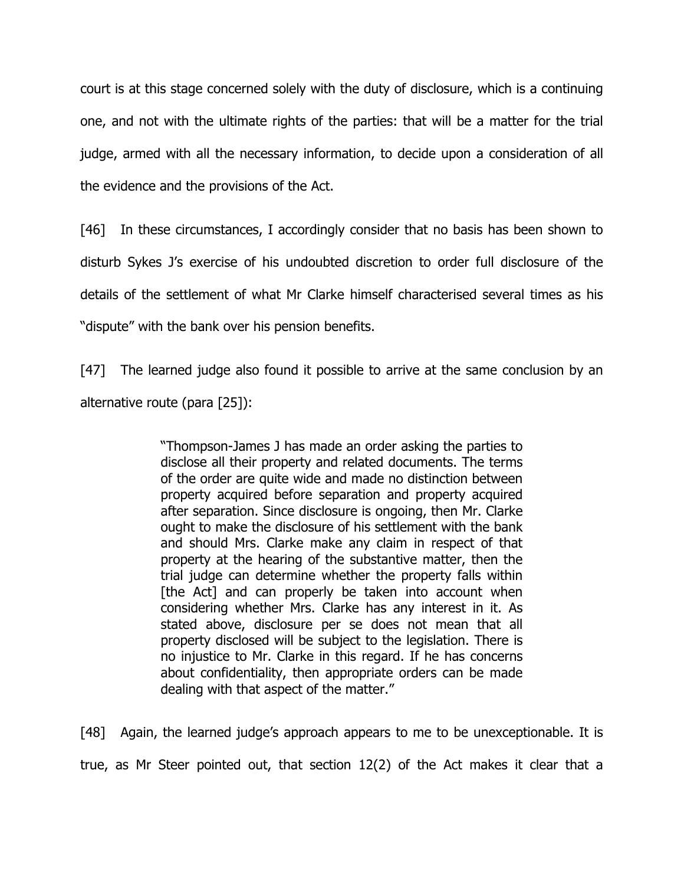court is at this stage concerned solely with the duty of disclosure, which is a continuing one, and not with the ultimate rights of the parties: that will be a matter for the trial judge, armed with all the necessary information, to decide upon a consideration of all the evidence and the provisions of the Act.

[46] In these circumstances, I accordingly consider that no basis has been shown to disturb Sykes J's exercise of his undoubted discretion to order full disclosure of the details of the settlement of what Mr Clarke himself characterised several times as his "dispute" with the bank over his pension benefits.

[47] The learned judge also found it possible to arrive at the same conclusion by an alternative route (para [25]):

> "Thompson-James J has made an order asking the parties to disclose all their property and related documents. The terms of the order are quite wide and made no distinction between property acquired before separation and property acquired after separation. Since disclosure is ongoing, then Mr. Clarke ought to make the disclosure of his settlement with the bank and should Mrs. Clarke make any claim in respect of that property at the hearing of the substantive matter, then the trial judge can determine whether the property falls within [the Act] and can properly be taken into account when considering whether Mrs. Clarke has any interest in it. As stated above, disclosure per se does not mean that all property disclosed will be subject to the legislation. There is no injustice to Mr. Clarke in this regard. If he has concerns about confidentiality, then appropriate orders can be made dealing with that aspect of the matter."

[48] Again, the learned judge's approach appears to me to be unexceptionable. It is true, as Mr Steer pointed out, that section 12(2) of the Act makes it clear that a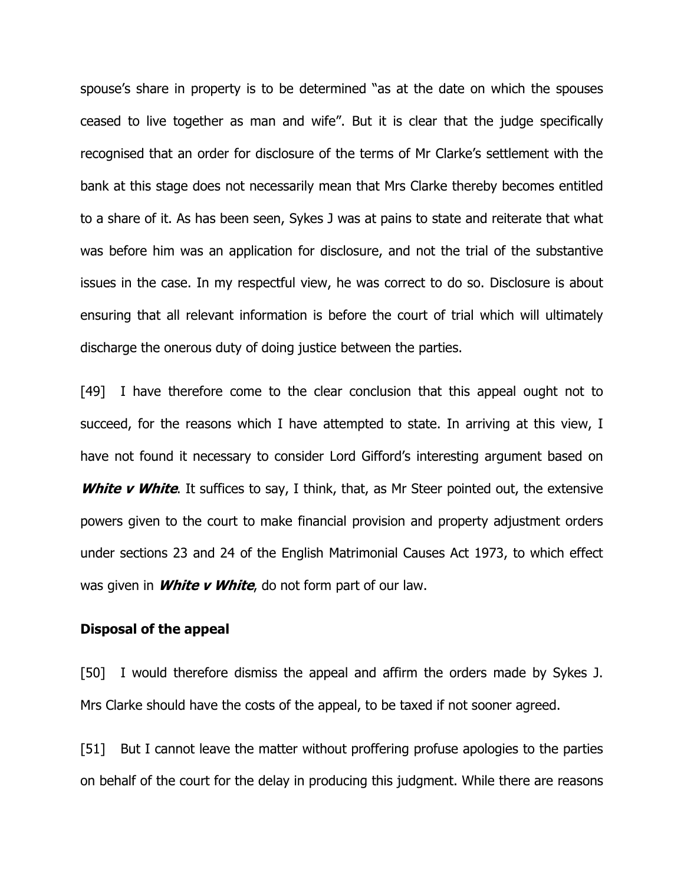spouse's share in property is to be determined "as at the date on which the spouses ceased to live together as man and wife". But it is clear that the judge specifically recognised that an order for disclosure of the terms of Mr Clarke's settlement with the bank at this stage does not necessarily mean that Mrs Clarke thereby becomes entitled to a share of it. As has been seen, Sykes J was at pains to state and reiterate that what was before him was an application for disclosure, and not the trial of the substantive issues in the case. In my respectful view, he was correct to do so. Disclosure is about ensuring that all relevant information is before the court of trial which will ultimately discharge the onerous duty of doing justice between the parties.

[49] I have therefore come to the clear conclusion that this appeal ought not to succeed, for the reasons which I have attempted to state. In arriving at this view, I have not found it necessary to consider Lord Gifford's interesting argument based on **White v White.** It suffices to say, I think, that, as Mr Steer pointed out, the extensive powers given to the court to make financial provision and property adjustment orders under sections 23 and 24 of the English Matrimonial Causes Act 1973, to which effect was given in **White v White**, do not form part of our law.

#### Disposal of the appeal

[50] I would therefore dismiss the appeal and affirm the orders made by Sykes J. Mrs Clarke should have the costs of the appeal, to be taxed if not sooner agreed.

[51] But I cannot leave the matter without proffering profuse apologies to the parties on behalf of the court for the delay in producing this judgment. While there are reasons